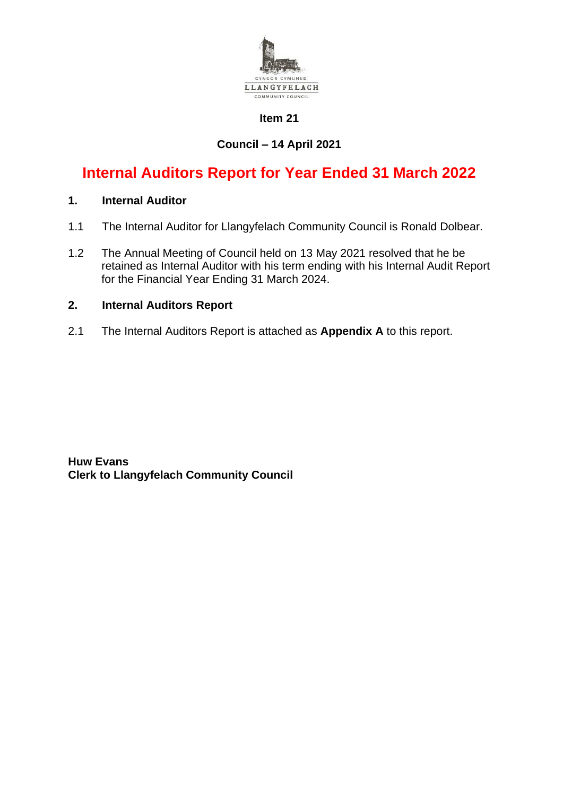

# **Item 21**

# **Council – 14 April 2021**

# **Internal Auditors Report for Year Ended 31 March 2022**

# **1. Internal Auditor**

- 1.1 The Internal Auditor for Llangyfelach Community Council is Ronald Dolbear.
- 1.2 The Annual Meeting of Council held on 13 May 2021 resolved that he be retained as Internal Auditor with his term ending with his Internal Audit Report for the Financial Year Ending 31 March 2024.

### **2. Internal Auditors Report**

2.1 The Internal Auditors Report is attached as **Appendix A** to this report.

**Huw Evans Clerk to Llangyfelach Community Council**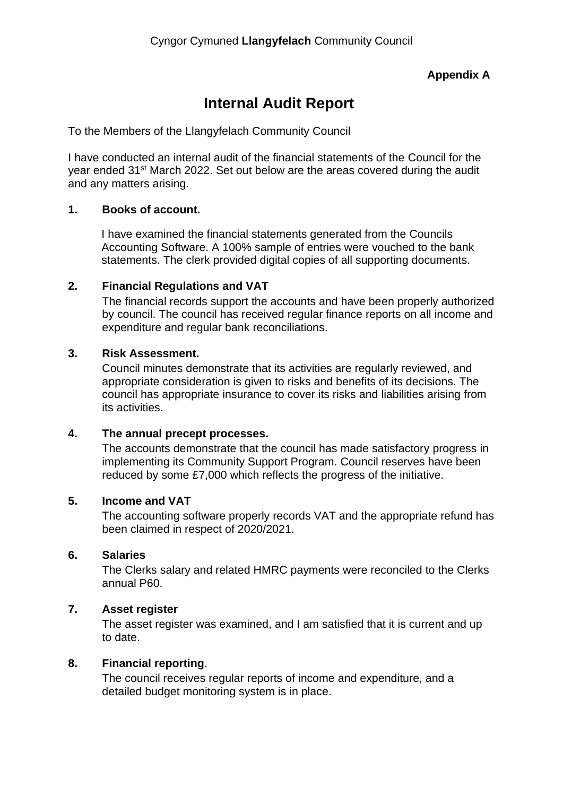# **Appendix A**

# **Internal Audit Report**

To the Members of the Llangyfelach Community Council

I have conducted an internal audit of the financial statements of the Council for the year ended 31st March 2022. Set out below are the areas covered during the audit and any matters arising.

# **1. Books of account.**

I have examined the financial statements generated from the Councils Accounting Software. A 100% sample of entries were vouched to the bank statements. The clerk provided digital copies of all supporting documents.

# **2. Financial Regulations and VAT**

The financial records support the accounts and have been properly authorized by council. The council has received regular finance reports on all income and expenditure and regular bank reconciliations.

### **3. Risk Assessment.**

Council minutes demonstrate that its activities are regularly reviewed, and appropriate consideration is given to risks and benefits of its decisions. The council has appropriate insurance to cover its risks and liabilities arising from its activities.

# **4. The annual precept processes.**

The accounts demonstrate that the council has made satisfactory progress in implementing its Community Support Program. Council reserves have been reduced by some £7,000 which reflects the progress of the initiative.

### **5. Income and VAT**

The accounting software properly records VAT and the appropriate refund has been claimed in respect of 2020/2021.

### **6. Salaries**

The Clerks salary and related HMRC payments were reconciled to the Clerks annual P60.

### **7. Asset register**

The asset register was examined, and I am satisfied that it is current and up to date.

### **8. Financial reporting**.

The council receives regular reports of income and expenditure, and a detailed budget monitoring system is in place.